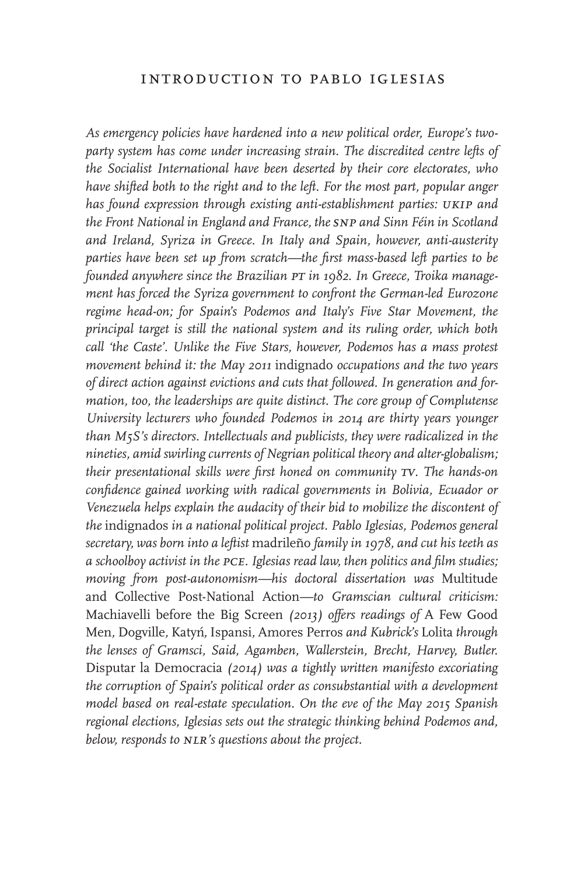#### introduction to pablo iglesias

*As emergency policies have hardened into a new political order, Europe's twoparty system has come under increasing strain. The discredited centre lefts of the Socialist International have been deserted by their core electorates, who have shifted both to the right and to the left. For the most part, popular anger has found expression through existing anti-establishment parties: ukip and the Front National in England and France, the snp and Sinn Féin in Scotland and Ireland, Syriza in Greece. In Italy and Spain, however, anti-austerity parties have been set up from scratch—the first mass-based left parties to be founded anywhere since the Brazilian pt in 1982. In Greece, Troika management has forced the Syriza government to confront the German-led Eurozone regime head-on; for Spain's Podemos and Italy's Five Star Movement, the principal target is still the national system and its ruling order, which both call 'the Caste'. Unlike the Five Stars, however, Podemos has a mass protest movement behind it: the May 2011* indignado *occupations and the two years of direct action against evictions and cuts that followed. In generation and formation, too, the leaderships are quite distinct. The core group of Complutense University lecturers who founded Podemos in 2014 are thirty years younger than M5S's directors. Intellectuals and publicists, they were radicalized in the nineties, amid swirling currents of Negrian political theory and alter-globalism; their presentational skills were first honed on community tv. The hands-on confidence gained working with radical governments in Bolivia, Ecuador or Venezuela helps explain the audacity of their bid to mobilize the discontent of the* indignados *in a national political project. Pablo Iglesias, Podemos general secretary, was born into a leftist* madrileño *family in 1978, and cut his teeth as a schoolboy activist in the pce. Iglesias read law, then politics and film studies; moving from post-autonomism—his doctoral dissertation was* Multitude and Collective Post-National Action*—to Gramscian cultural criticism:*  Machiavelli before the Big Screen *(2013) offers readings of* A Few Good Men*,* Dogville*,* Katyn´*,* Ispansi*,* Amores Perros *and Kubrick's* Lolita *through the lenses of Gramsci, Said, Agamben, Wallerstein, Brecht, Harvey, Butler.*  Disputar la Democracia *(2014) was a tightly written manifesto excoriating the corruption of Spain's political order as consubstantial with a development model based on real-estate speculation. On the eve of the May 2015 Spanish regional elections, Iglesias sets out the strategic thinking behind Podemos and, below, responds to nlr's questions about the project.*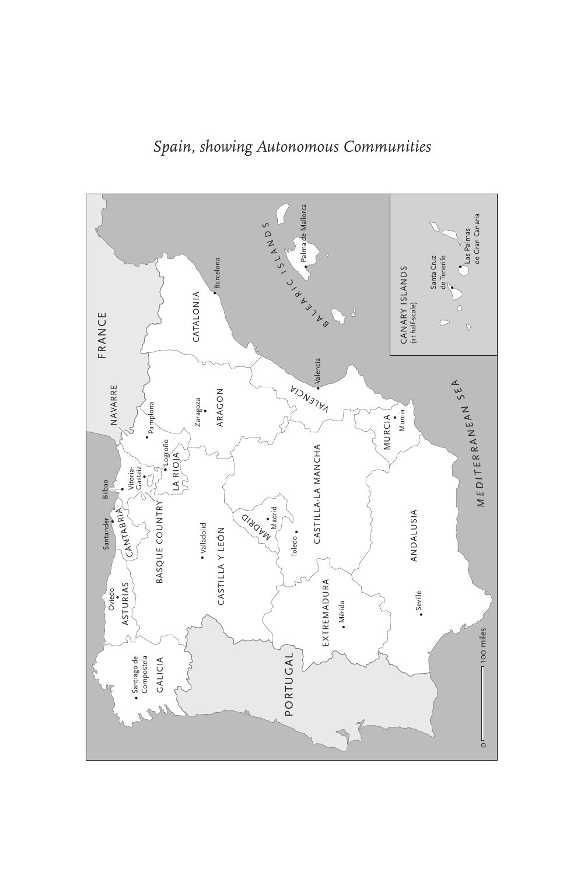

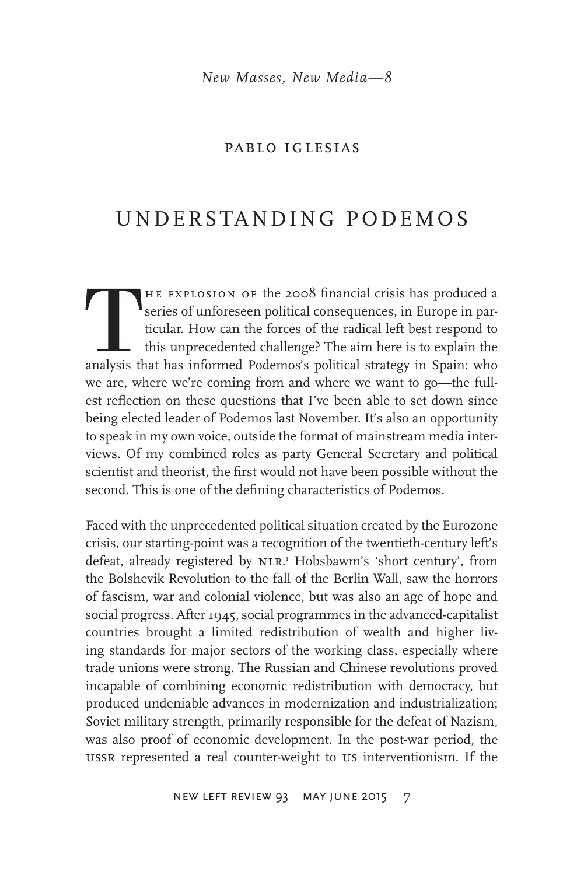#### *New Masses, New Media—8*

#### pablo iglesias

## UNDERSTANDING PODEMOS

THE EXPLOSION OF the 2008 financial crisis has produced a series of unforeseen political consequences, in Europe in particular. How can the forces of the radical left best respond to this unprecedented challenge? The aim h series of unforeseen political consequences, in Europe in particular. How can the forces of the radical left best respond to this unprecedented challenge? The aim here is to explain the analysis that has informed Podemos's political strategy in Spain: who we are, where we're coming from and where we want to go—the fullest reflection on these questions that I've been able to set down since being elected leader of Podemos last November. It's also an opportunity to speak in my own voice, outside the format of mainstream media interviews. Of my combined roles as party General Secretary and political scientist and theorist, the first would not have been possible without the second. This is one of the defining characteristics of Podemos.

Faced with the unprecedented political situation created by the Eurozone crisis, our starting-point was a recognition of the twentieth-century left's defeat, already registered by NLR.<sup>1</sup> Hobsbawm's 'short century', from the Bolshevik Revolution to the fall of the Berlin Wall, saw the horrors of fascism, war and colonial violence, but was also an age of hope and social progress. After 1945, social programmes in the advanced-capitalist countries brought a limited redistribution of wealth and higher living standards for major sectors of the working class, especially where trade unions were strong. The Russian and Chinese revolutions proved incapable of combining economic redistribution with democracy, but produced undeniable advances in modernization and industrialization; Soviet military strength, primarily responsible for the defeat of Nazism, was also proof of economic development. In the post-war period, the ussr represented a real counter-weight to us interventionism. If the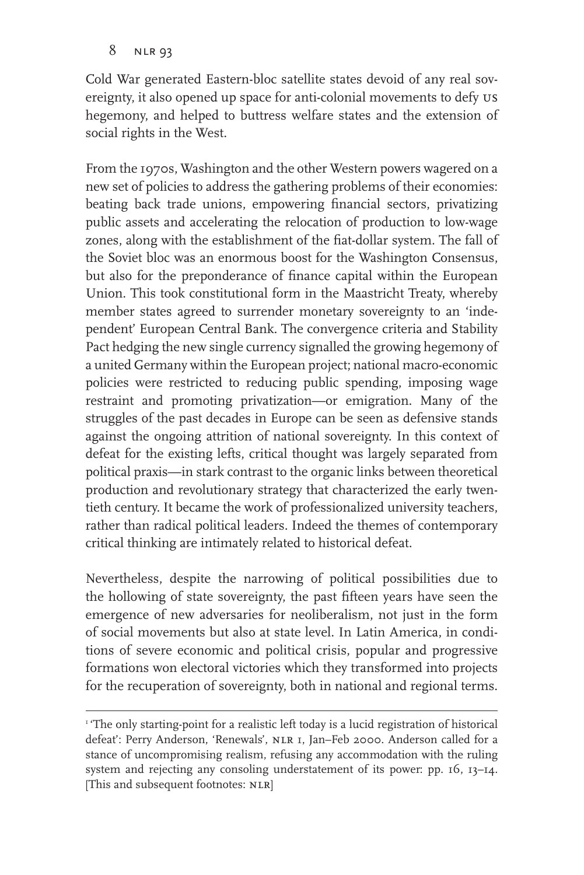Cold War generated Eastern-bloc satellite states devoid of any real sovereignty, it also opened up space for anti-colonial movements to defy us hegemony, and helped to buttress welfare states and the extension of social rights in the West.

From the 1970s, Washington and the other Western powers wagered on a new set of policies to address the gathering problems of their economies: beating back trade unions, empowering financial sectors, privatizing public assets and accelerating the relocation of production to low-wage zones, along with the establishment of the fiat-dollar system. The fall of the Soviet bloc was an enormous boost for the Washington Consensus, but also for the preponderance of finance capital within the European Union. This took constitutional form in the Maastricht Treaty, whereby member states agreed to surrender monetary sovereignty to an 'independent' European Central Bank. The convergence criteria and Stability Pact hedging the new single currency signalled the growing hegemony of a united Germany within the European project; national macro-economic policies were restricted to reducing public spending, imposing wage restraint and promoting privatization—or emigration. Many of the struggles of the past decades in Europe can be seen as defensive stands against the ongoing attrition of national sovereignty. In this context of defeat for the existing lefts, critical thought was largely separated from political praxis—in stark contrast to the organic links between theoretical production and revolutionary strategy that characterized the early twentieth century. It became the work of professionalized university teachers, rather than radical political leaders. Indeed the themes of contemporary critical thinking are intimately related to historical defeat.

Nevertheless, despite the narrowing of political possibilities due to the hollowing of state sovereignty, the past fifteen years have seen the emergence of new adversaries for neoliberalism, not just in the form of social movements but also at state level. In Latin America, in conditions of severe economic and political crisis, popular and progressive formations won electoral victories which they transformed into projects for the recuperation of sovereignty, both in national and regional terms.

 $1$ <sup>T</sup> The only starting-point for a realistic left today is a lucid registration of historical defeat': Perry Anderson, 'Renewals', NLR I, Jan–Feb 2000. Anderson called for a stance of uncompromising realism, refusing any accommodation with the ruling system and rejecting any consoling understatement of its power: pp. 16, 13-14. [This and subsequent footnotes: NLR]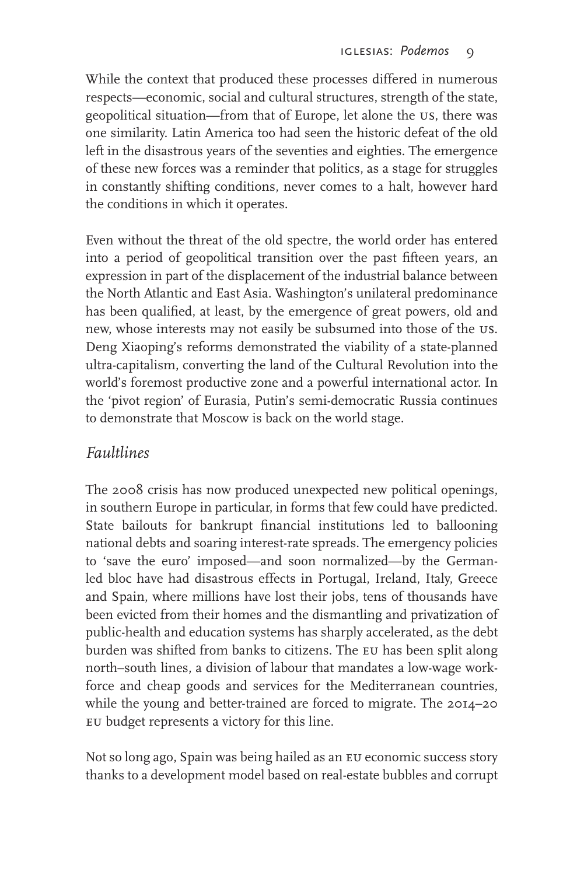While the context that produced these processes differed in numerous respects—economic, social and cultural structures, strength of the state, geopolitical situation—from that of Europe, let alone the us, there was one similarity. Latin America too had seen the historic defeat of the old left in the disastrous years of the seventies and eighties. The emergence of these new forces was a reminder that politics, as a stage for struggles in constantly shifting conditions, never comes to a halt, however hard the conditions in which it operates.

Even without the threat of the old spectre, the world order has entered into a period of geopolitical transition over the past fifteen years, an expression in part of the displacement of the industrial balance between the North Atlantic and East Asia. Washington's unilateral predominance has been qualified, at least, by the emergence of great powers, old and new, whose interests may not easily be subsumed into those of the us. Deng Xiaoping's reforms demonstrated the viability of a state-planned ultra-capitalism, converting the land of the Cultural Revolution into the world's foremost productive zone and a powerful international actor. In the 'pivot region' of Eurasia, Putin's semi-democratic Russia continues to demonstrate that Moscow is back on the world stage.

#### *Faultlines*

The 2008 crisis has now produced unexpected new political openings, in southern Europe in particular, in forms that few could have predicted. State bailouts for bankrupt financial institutions led to ballooning national debts and soaring interest-rate spreads. The emergency policies to 'save the euro' imposed—and soon normalized—by the Germanled bloc have had disastrous effects in Portugal, Ireland, Italy, Greece and Spain, where millions have lost their jobs, tens of thousands have been evicted from their homes and the dismantling and privatization of public-health and education systems has sharply accelerated, as the debt burden was shifted from banks to citizens. The EU has been split along north–south lines, a division of labour that mandates a low-wage workforce and cheap goods and services for the Mediterranean countries, while the young and better-trained are forced to migrate. The 2014–20 eu budget represents a victory for this line.

Not so long ago, Spain was being hailed as an eu economic success story thanks to a development model based on real-estate bubbles and corrupt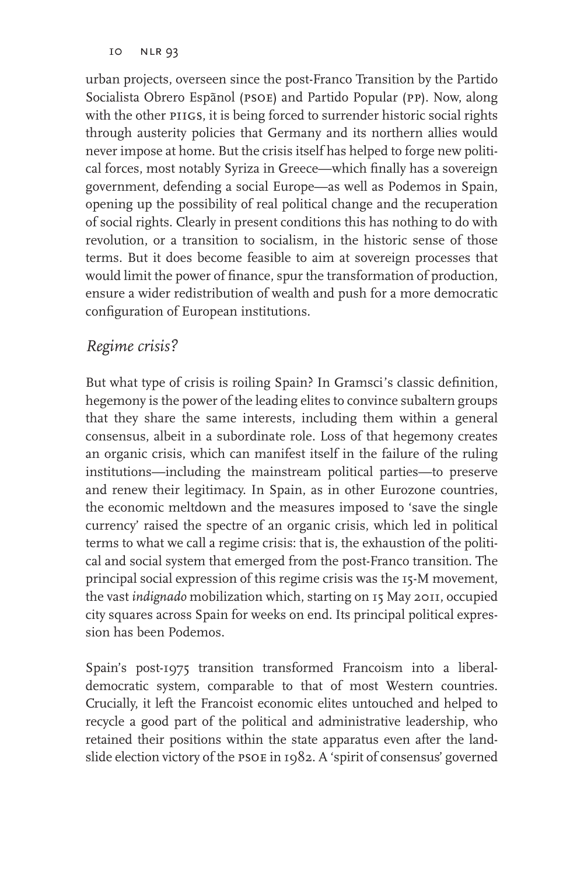urban projects, overseen since the post-Franco Transition by the Partido Socialista Obrero Espãnol (psoe) and Partido Popular (pp). Now, along with the other PIIGS, it is being forced to surrender historic social rights through austerity policies that Germany and its northern allies would never impose at home. But the crisis itself has helped to forge new political forces, most notably Syriza in Greece—which finally has a sovereign government, defending a social Europe—as well as Podemos in Spain, opening up the possibility of real political change and the recuperation of social rights. Clearly in present conditions this has nothing to do with revolution, or a transition to socialism, in the historic sense of those terms. But it does become feasible to aim at sovereign processes that would limit the power of finance, spur the transformation of production, ensure a wider redistribution of wealth and push for a more democratic configuration of European institutions.

#### *Regime crisis?*

But what type of crisis is roiling Spain? In Gramsci's classic definition, hegemony is the power of the leading elites to convince subaltern groups that they share the same interests, including them within a general consensus, albeit in a subordinate role. Loss of that hegemony creates an organic crisis, which can manifest itself in the failure of the ruling institutions—including the mainstream political parties—to preserve and renew their legitimacy. In Spain, as in other Eurozone countries, the economic meltdown and the measures imposed to 'save the single currency' raised the spectre of an organic crisis, which led in political terms to what we call a regime crisis: that is, the exhaustion of the political and social system that emerged from the post-Franco transition. The principal social expression of this regime crisis was the 15-M movement, the vast *indignado* mobilization which, starting on 15 May 2011, occupied city squares across Spain for weeks on end. Its principal political expression has been Podemos.

Spain's post-1975 transition transformed Francoism into a liberaldemocratic system, comparable to that of most Western countries. Crucially, it left the Francoist economic elites untouched and helped to recycle a good part of the political and administrative leadership, who retained their positions within the state apparatus even after the landslide election victory of the psoe in 1982. A 'spirit of consensus' governed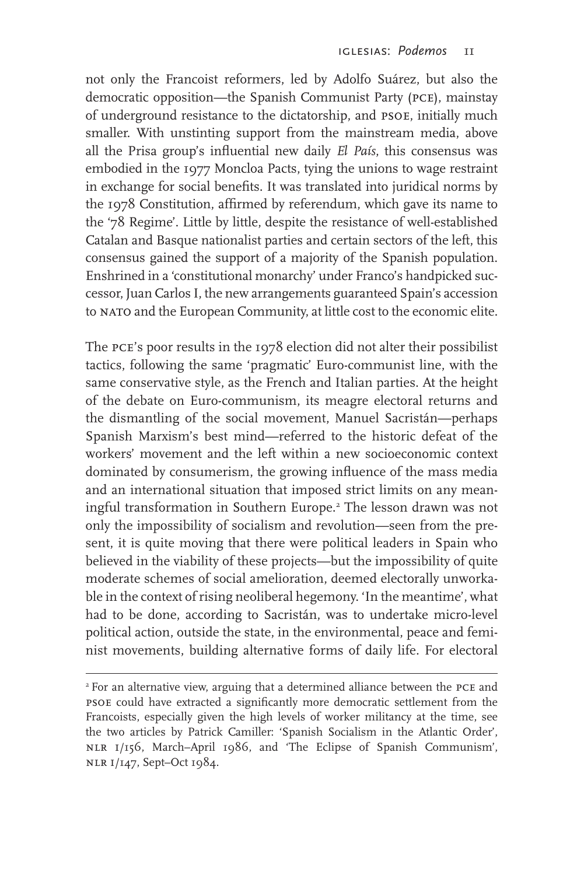not only the Francoist reformers, led by Adolfo Suárez, but also the democratic opposition—the Spanish Communist Party (pce), mainstay of underground resistance to the dictatorship, and psoe, initially much smaller. With unstinting support from the mainstream media, above all the Prisa group's influential new daily *El País*, this consensus was embodied in the 1977 Moncloa Pacts, tying the unions to wage restraint in exchange for social benefits. It was translated into juridical norms by the 1978 Constitution, affirmed by referendum, which gave its name to the '78 Regime'. Little by little, despite the resistance of well-established Catalan and Basque nationalist parties and certain sectors of the left, this consensus gained the support of a majority of the Spanish population. Enshrined in a 'constitutional monarchy' under Franco's handpicked successor, Juan Carlos I, the new arrangements guaranteed Spain's accession to NATO and the European Community, at little cost to the economic elite.

The pce's poor results in the 1978 election did not alter their possibilist tactics, following the same 'pragmatic' Euro-communist line, with the same conservative style, as the French and Italian parties. At the height of the debate on Euro-communism, its meagre electoral returns and the dismantling of the social movement, Manuel Sacristán—perhaps Spanish Marxism's best mind—referred to the historic defeat of the workers' movement and the left within a new socioeconomic context dominated by consumerism, the growing influence of the mass media and an international situation that imposed strict limits on any meaningful transformation in Southern Europe.2 The lesson drawn was not only the impossibility of socialism and revolution—seen from the present, it is quite moving that there were political leaders in Spain who believed in the viability of these projects—but the impossibility of quite moderate schemes of social amelioration, deemed electorally unworkable in the context of rising neoliberal hegemony. 'In the meantime', what had to be done, according to Sacristán, was to undertake micro-level political action, outside the state, in the environmental, peace and feminist movements, building alternative forms of daily life. For electoral

<sup>&</sup>lt;sup>2</sup> For an alternative view, arguing that a determined alliance between the PCE and psoe could have extracted a significantly more democratic settlement from the Francoists, especially given the high levels of worker militancy at the time, see the two articles by Patrick Camiller: 'Spanish Socialism in the Atlantic Order', nlr i/156, March–April 1986, and 'The Eclipse of Spanish Communism', nlr i/147, Sept–Oct 1984.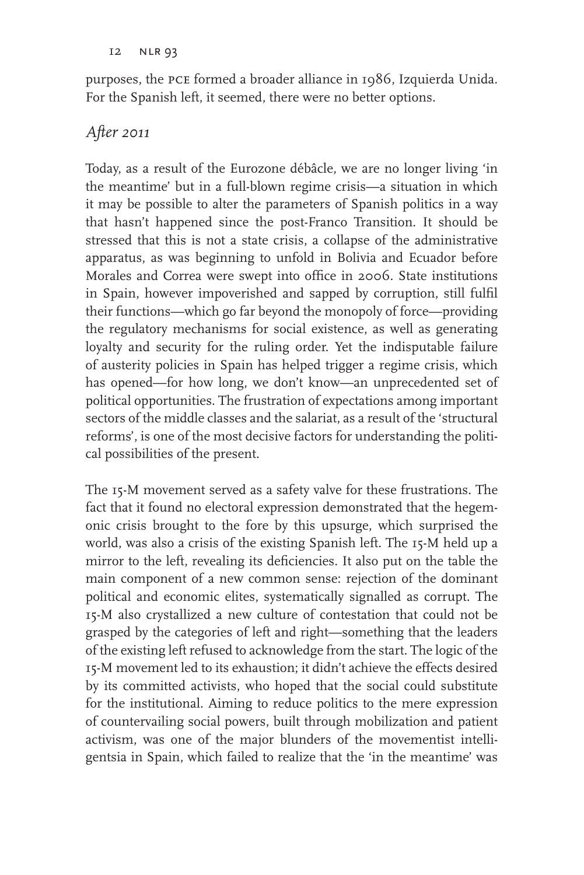purposes, the pce formed a broader alliance in 1986, Izquierda Unida. For the Spanish left, it seemed, there were no better options.

## *After 2011*

Today, as a result of the Eurozone débâcle, we are no longer living 'in the meantime' but in a full-blown regime crisis—a situation in which it may be possible to alter the parameters of Spanish politics in a way that hasn't happened since the post-Franco Transition. It should be stressed that this is not a state crisis, a collapse of the administrative apparatus, as was beginning to unfold in Bolivia and Ecuador before Morales and Correa were swept into office in 2006. State institutions in Spain, however impoverished and sapped by corruption, still fulfil their functions—which go far beyond the monopoly of force—providing the regulatory mechanisms for social existence, as well as generating loyalty and security for the ruling order. Yet the indisputable failure of austerity policies in Spain has helped trigger a regime crisis, which has opened—for how long, we don't know—an unprecedented set of political opportunities. The frustration of expectations among important sectors of the middle classes and the salariat, as a result of the 'structural reforms', is one of the most decisive factors for understanding the political possibilities of the present.

The 15-M movement served as a safety valve for these frustrations. The fact that it found no electoral expression demonstrated that the hegemonic crisis brought to the fore by this upsurge, which surprised the world, was also a crisis of the existing Spanish left. The 15-M held up a mirror to the left, revealing its deficiencies. It also put on the table the main component of a new common sense: rejection of the dominant political and economic elites, systematically signalled as corrupt. The 15-M also crystallized a new culture of contestation that could not be grasped by the categories of left and right—something that the leaders of the existing left refused to acknowledge from the start. The logic of the 15-M movement led to its exhaustion; it didn't achieve the effects desired by its committed activists, who hoped that the social could substitute for the institutional. Aiming to reduce politics to the mere expression of countervailing social powers, built through mobilization and patient activism, was one of the major blunders of the movementist intelligentsia in Spain, which failed to realize that the 'in the meantime' was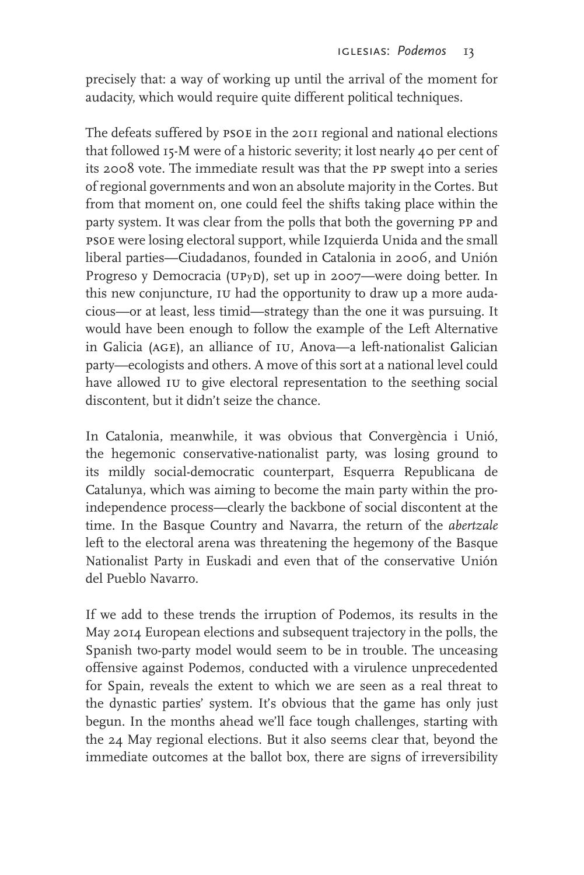precisely that: a way of working up until the arrival of the moment for audacity, which would require quite different political techniques.

The defeats suffered by psoe in the 2011 regional and national elections that followed 15-M were of a historic severity; it lost nearly 40 per cent of its 2008 vote. The immediate result was that the pp swept into a series of regional governments and won an absolute majority in the Cortes. But from that moment on, one could feel the shifts taking place within the party system. It was clear from the polls that both the governing pp and psoe were losing electoral support, while Izquierda Unida and the small liberal parties—Ciudadanos, founded in Catalonia in 2006, and Unión Progreso y Democracia (UPyD), set up in 2007—were doing better. In this new conjuncture, IU had the opportunity to draw up a more audacious—or at least, less timid—strategy than the one it was pursuing. It would have been enough to follow the example of the Left Alternative in Galicia (age), an alliance of iu, Anova—a left-nationalist Galician party—ecologists and others. A move of this sort at a national level could have allowed IU to give electoral representation to the seething social discontent, but it didn't seize the chance.

In Catalonia, meanwhile, it was obvious that Convergència i Unió, the hegemonic conservative-nationalist party, was losing ground to its mildly social-democratic counterpart, Esquerra Republicana de Catalunya, which was aiming to become the main party within the proindependence process—clearly the backbone of social discontent at the time. In the Basque Country and Navarra, the return of the *abertzale* left to the electoral arena was threatening the hegemony of the Basque Nationalist Party in Euskadi and even that of the conservative Unión del Pueblo Navarro.

If we add to these trends the irruption of Podemos, its results in the May 2014 European elections and subsequent trajectory in the polls, the Spanish two-party model would seem to be in trouble. The unceasing offensive against Podemos, conducted with a virulence unprecedented for Spain, reveals the extent to which we are seen as a real threat to the dynastic parties' system. It's obvious that the game has only just begun. In the months ahead we'll face tough challenges, starting with the 24 May regional elections. But it also seems clear that, beyond the immediate outcomes at the ballot box, there are signs of irreversibility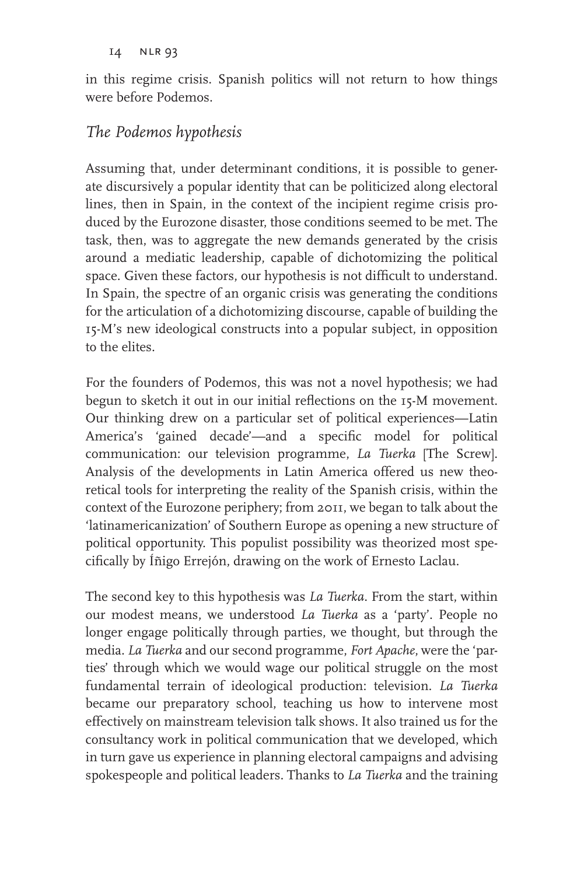in this regime crisis. Spanish politics will not return to how things were before Podemos.

### *The Podemos hypothesis*

Assuming that, under determinant conditions, it is possible to generate discursively a popular identity that can be politicized along electoral lines, then in Spain, in the context of the incipient regime crisis produced by the Eurozone disaster, those conditions seemed to be met. The task, then, was to aggregate the new demands generated by the crisis around a mediatic leadership, capable of dichotomizing the political space. Given these factors, our hypothesis is not difficult to understand. In Spain, the spectre of an organic crisis was generating the conditions for the articulation of a dichotomizing discourse, capable of building the 15-M's new ideological constructs into a popular subject, in opposition to the elites.

For the founders of Podemos, this was not a novel hypothesis; we had begun to sketch it out in our initial reflections on the 15-M movement. Our thinking drew on a particular set of political experiences—Latin America's 'gained decade'—and a specific model for political communication: our television programme, *La Tuerka* [The Screw]. Analysis of the developments in Latin America offered us new theoretical tools for interpreting the reality of the Spanish crisis, within the context of the Eurozone periphery; from 2011, we began to talk about the 'latinamericanization' of Southern Europe as opening a new structure of political opportunity. This populist possibility was theorized most specifically by Íñigo Errejón, drawing on the work of Ernesto Laclau.

The second key to this hypothesis was *La Tuerka*. From the start, within our modest means, we understood *La Tuerka* as a 'party'. People no longer engage politically through parties, we thought, but through the media. *La Tuerka* and our second programme, *Fort Apache*, were the 'parties' through which we would wage our political struggle on the most fundamental terrain of ideological production: television. *La Tuerka* became our preparatory school, teaching us how to intervene most effectively on mainstream television talk shows. It also trained us for the consultancy work in political communication that we developed, which in turn gave us experience in planning electoral campaigns and advising spokespeople and political leaders. Thanks to *La Tuerka* and the training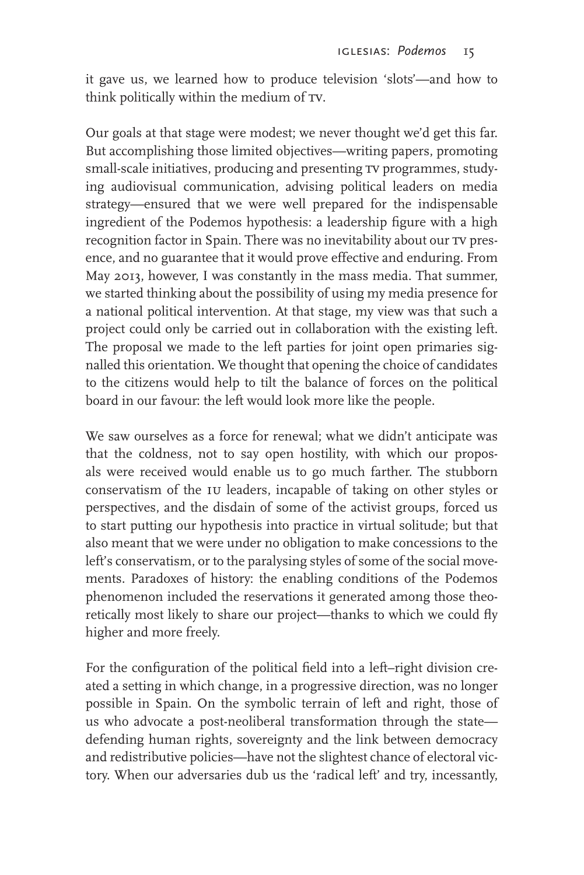it gave us, we learned how to produce television 'slots'—and how to think politically within the medium of tv.

Our goals at that stage were modest; we never thought we'd get this far. But accomplishing those limited objectives—writing papers, promoting small-scale initiatives, producing and presenting tv programmes, studying audiovisual communication, advising political leaders on media strategy—ensured that we were well prepared for the indispensable ingredient of the Podemos hypothesis: a leadership figure with a high recognition factor in Spain. There was no inevitability about our tv presence, and no guarantee that it would prove effective and enduring. From May 2013, however, I was constantly in the mass media. That summer, we started thinking about the possibility of using my media presence for a national political intervention. At that stage, my view was that such a project could only be carried out in collaboration with the existing left. The proposal we made to the left parties for joint open primaries signalled this orientation. We thought that opening the choice of candidates to the citizens would help to tilt the balance of forces on the political board in our favour: the left would look more like the people.

We saw ourselves as a force for renewal; what we didn't anticipate was that the coldness, not to say open hostility, with which our proposals were received would enable us to go much farther. The stubborn conservatism of the IU leaders, incapable of taking on other styles or perspectives, and the disdain of some of the activist groups, forced us to start putting our hypothesis into practice in virtual solitude; but that also meant that we were under no obligation to make concessions to the left's conservatism, or to the paralysing styles of some of the social movements. Paradoxes of history: the enabling conditions of the Podemos phenomenon included the reservations it generated among those theoretically most likely to share our project—thanks to which we could fly higher and more freely.

For the configuration of the political field into a left–right division created a setting in which change, in a progressive direction, was no longer possible in Spain. On the symbolic terrain of left and right, those of us who advocate a post-neoliberal transformation through the state defending human rights, sovereignty and the link between democracy and redistributive policies—have not the slightest chance of electoral victory. When our adversaries dub us the 'radical left' and try, incessantly,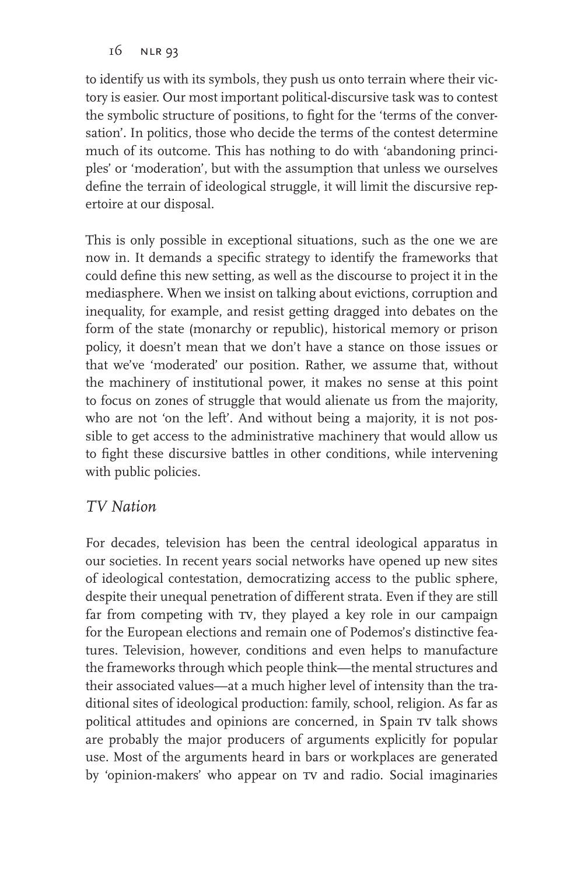to identify us with its symbols, they push us onto terrain where their victory is easier. Our most important political-discursive task was to contest the symbolic structure of positions, to fight for the 'terms of the conversation'. In politics, those who decide the terms of the contest determine much of its outcome. This has nothing to do with 'abandoning principles' or 'moderation', but with the assumption that unless we ourselves define the terrain of ideological struggle, it will limit the discursive repertoire at our disposal.

This is only possible in exceptional situations, such as the one we are now in. It demands a specific strategy to identify the frameworks that could define this new setting, as well as the discourse to project it in the mediasphere. When we insist on talking about evictions, corruption and inequality, for example, and resist getting dragged into debates on the form of the state (monarchy or republic), historical memory or prison policy, it doesn't mean that we don't have a stance on those issues or that we've 'moderated' our position. Rather, we assume that, without the machinery of institutional power, it makes no sense at this point to focus on zones of struggle that would alienate us from the majority, who are not 'on the left'. And without being a majority, it is not possible to get access to the administrative machinery that would allow us to fight these discursive battles in other conditions, while intervening with public policies.

#### *TV Nation*

For decades, television has been the central ideological apparatus in our societies. In recent years social networks have opened up new sites of ideological contestation, democratizing access to the public sphere, despite their unequal penetration of different strata. Even if they are still far from competing with tv, they played a key role in our campaign for the European elections and remain one of Podemos's distinctive features. Television, however, conditions and even helps to manufacture the frameworks through which people think—the mental structures and their associated values—at a much higher level of intensity than the traditional sites of ideological production: family, school, religion. As far as political attitudes and opinions are concerned, in Spain tv talk shows are probably the major producers of arguments explicitly for popular use. Most of the arguments heard in bars or workplaces are generated by 'opinion-makers' who appear on tv and radio. Social imaginaries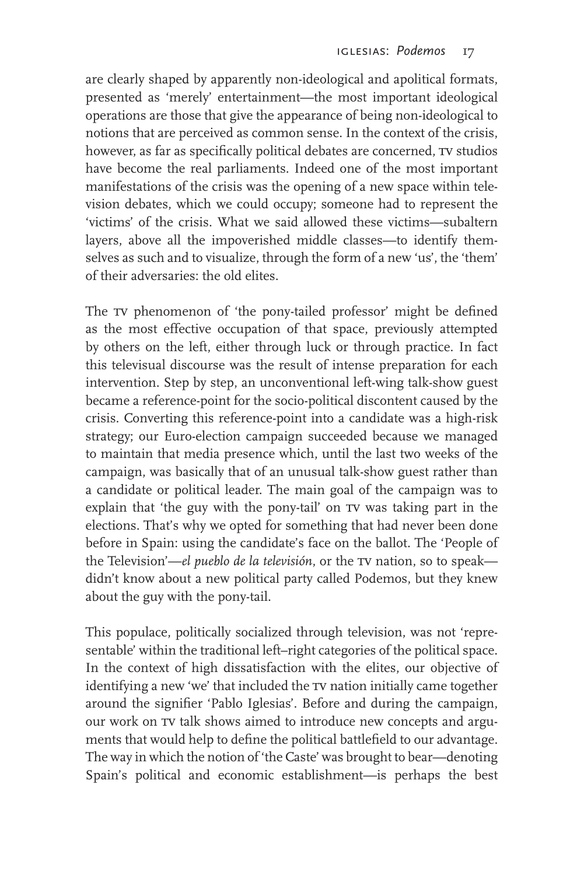are clearly shaped by apparently non-ideological and apolitical formats, presented as 'merely' entertainment—the most important ideological operations are those that give the appearance of being non-ideological to notions that are perceived as common sense. In the context of the crisis, however, as far as specifically political debates are concerned, TV studios have become the real parliaments. Indeed one of the most important manifestations of the crisis was the opening of a new space within television debates, which we could occupy; someone had to represent the 'victims' of the crisis. What we said allowed these victims—subaltern layers, above all the impoverished middle classes—to identify themselves as such and to visualize, through the form of a new 'us', the 'them' of their adversaries: the old elites.

The tv phenomenon of 'the pony-tailed professor' might be defined as the most effective occupation of that space, previously attempted by others on the left, either through luck or through practice. In fact this televisual discourse was the result of intense preparation for each intervention. Step by step, an unconventional left-wing talk-show guest became a reference-point for the socio-political discontent caused by the crisis. Converting this reference-point into a candidate was a high-risk strategy; our Euro-election campaign succeeded because we managed to maintain that media presence which, until the last two weeks of the campaign, was basically that of an unusual talk-show guest rather than a candidate or political leader. The main goal of the campaign was to explain that 'the guy with the pony-tail' on tv was taking part in the elections. That's why we opted for something that had never been done before in Spain: using the candidate's face on the ballot. The 'People of the Television'—*el pueblo de la televisión*, or the TV nation, so to speak didn't know about a new political party called Podemos, but they knew about the guy with the pony-tail.

This populace, politically socialized through television, was not 'representable' within the traditional left–right categories of the political space. In the context of high dissatisfaction with the elites, our objective of identifying a new 'we' that included the tv nation initially came together around the signifier 'Pablo Iglesias'. Before and during the campaign, our work on tv talk shows aimed to introduce new concepts and arguments that would help to define the political battlefield to our advantage. The way in which the notion of 'the Caste' was brought to bear—denoting Spain's political and economic establishment—is perhaps the best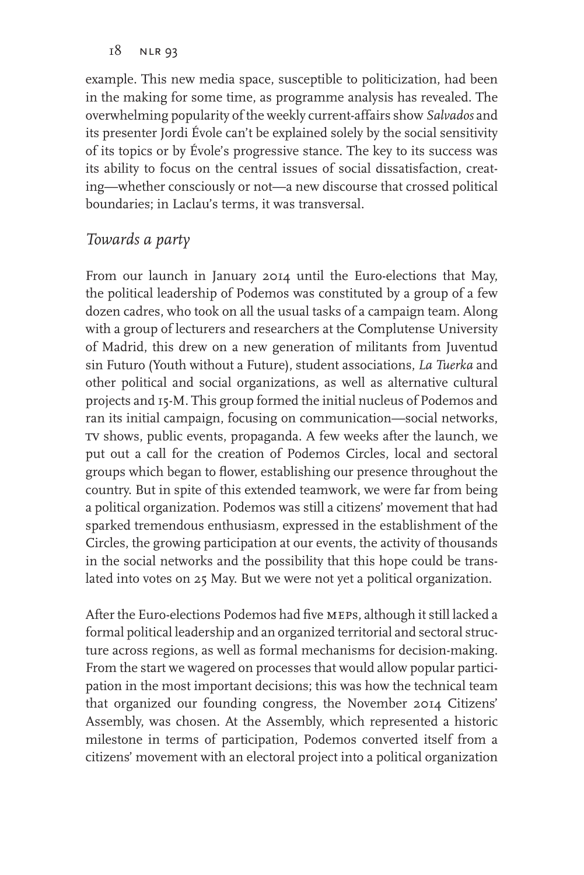example. This new media space, susceptible to politicization, had been in the making for some time, as programme analysis has revealed. The overwhelming popularity of the weekly current-affairs show *Salvados* and its presenter Jordi Évole can't be explained solely by the social sensitivity of its topics or by Évole's progressive stance. The key to its success was its ability to focus on the central issues of social dissatisfaction, creating—whether consciously or not—a new discourse that crossed political boundaries; in Laclau's terms, it was transversal.

#### *Towards a party*

From our launch in January 2014 until the Euro-elections that May, the political leadership of Podemos was constituted by a group of a few dozen cadres, who took on all the usual tasks of a campaign team. Along with a group of lecturers and researchers at the Complutense University of Madrid, this drew on a new generation of militants from Juventud sin Futuro (Youth without a Future), student associations, *La Tuerka* and other political and social organizations, as well as alternative cultural projects and 15-M. This group formed the initial nucleus of Podemos and ran its initial campaign, focusing on communication—social networks, tv shows, public events, propaganda. A few weeks after the launch, we put out a call for the creation of Podemos Circles, local and sectoral groups which began to flower, establishing our presence throughout the country. But in spite of this extended teamwork, we were far from being a political organization. Podemos was still a citizens' movement that had sparked tremendous enthusiasm, expressed in the establishment of the Circles, the growing participation at our events, the activity of thousands in the social networks and the possibility that this hope could be translated into votes on 25 May. But we were not yet a political organization.

After the Euro-elections Podemos had five meps, although it still lacked a formal political leadership and an organized territorial and sectoral structure across regions, as well as formal mechanisms for decision-making. From the start we wagered on processes that would allow popular participation in the most important decisions; this was how the technical team that organized our founding congress, the November 2014 Citizens' Assembly, was chosen. At the Assembly, which represented a historic milestone in terms of participation, Podemos converted itself from a citizens' movement with an electoral project into a political organization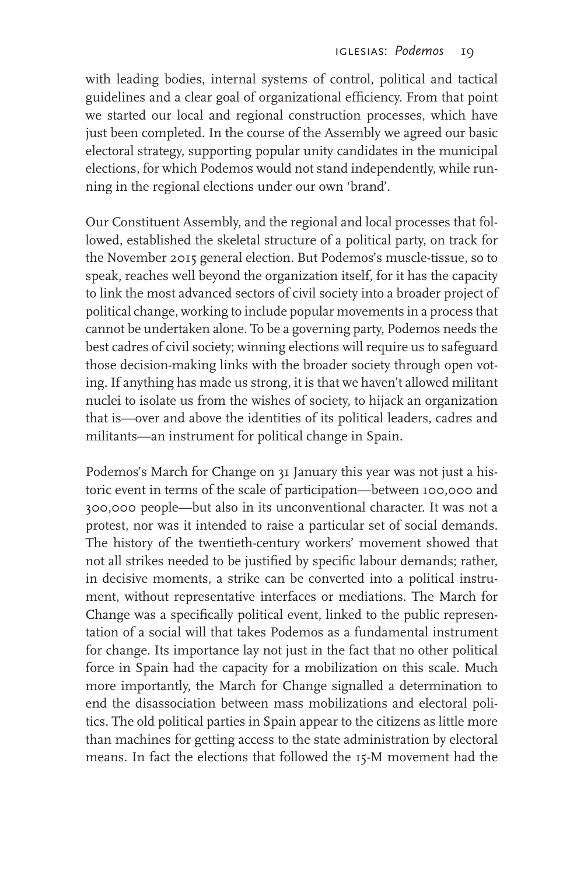with leading bodies, internal systems of control, political and tactical guidelines and a clear goal of organizational efficiency. From that point we started our local and regional construction processes, which have just been completed. In the course of the Assembly we agreed our basic electoral strategy, supporting popular unity candidates in the municipal elections, for which Podemos would not stand independently, while running in the regional elections under our own 'brand'.

Our Constituent Assembly, and the regional and local processes that followed, established the skeletal structure of a political party, on track for the November 2015 general election. But Podemos's muscle-tissue, so to speak, reaches well beyond the organization itself, for it has the capacity to link the most advanced sectors of civil society into a broader project of political change, working to include popular movements in a process that cannot be undertaken alone. To be a governing party, Podemos needs the best cadres of civil society; winning elections will require us to safeguard those decision-making links with the broader society through open voting. If anything has made us strong, it is that we haven't allowed militant nuclei to isolate us from the wishes of society, to hijack an organization that is—over and above the identities of its political leaders, cadres and militants—an instrument for political change in Spain.

Podemos's March for Change on 31 January this year was not just a historic event in terms of the scale of participation—between 100,000 and 300,000 people—but also in its unconventional character. It was not a protest, nor was it intended to raise a particular set of social demands. The history of the twentieth-century workers' movement showed that not all strikes needed to be justified by specific labour demands; rather, in decisive moments, a strike can be converted into a political instrument, without representative interfaces or mediations. The March for Change was a specifically political event, linked to the public representation of a social will that takes Podemos as a fundamental instrument for change. Its importance lay not just in the fact that no other political force in Spain had the capacity for a mobilization on this scale. Much more importantly, the March for Change signalled a determination to end the disassociation between mass mobilizations and electoral politics. The old political parties in Spain appear to the citizens as little more than machines for getting access to the state administration by electoral means. In fact the elections that followed the 15-M movement had the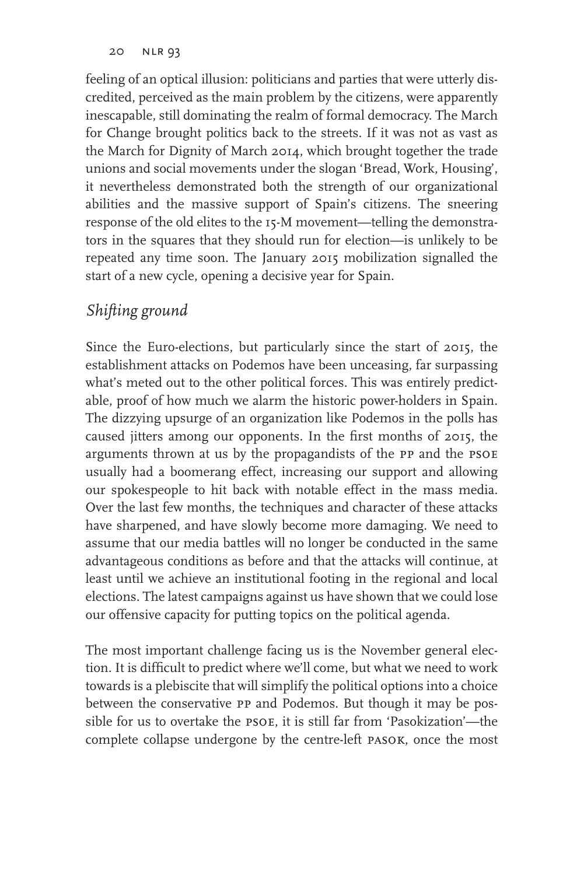feeling of an optical illusion: politicians and parties that were utterly discredited, perceived as the main problem by the citizens, were apparently inescapable, still dominating the realm of formal democracy. The March for Change brought politics back to the streets. If it was not as vast as the March for Dignity of March 2014, which brought together the trade unions and social movements under the slogan 'Bread, Work, Housing', it nevertheless demonstrated both the strength of our organizational abilities and the massive support of Spain's citizens. The sneering response of the old elites to the 15-M movement—telling the demonstrators in the squares that they should run for election—is unlikely to be repeated any time soon. The January 2015 mobilization signalled the start of a new cycle, opening a decisive year for Spain.

## *Shifting ground*

Since the Euro-elections, but particularly since the start of 2015, the establishment attacks on Podemos have been unceasing, far surpassing what's meted out to the other political forces. This was entirely predictable, proof of how much we alarm the historic power-holders in Spain. The dizzying upsurge of an organization like Podemos in the polls has caused jitters among our opponents. In the first months of 2015, the arguments thrown at us by the propagandists of the pp and the psoe usually had a boomerang effect, increasing our support and allowing our spokespeople to hit back with notable effect in the mass media. Over the last few months, the techniques and character of these attacks have sharpened, and have slowly become more damaging. We need to assume that our media battles will no longer be conducted in the same advantageous conditions as before and that the attacks will continue, at least until we achieve an institutional footing in the regional and local elections. The latest campaigns against us have shown that we could lose our offensive capacity for putting topics on the political agenda.

The most important challenge facing us is the November general election. It is difficult to predict where we'll come, but what we need to work towards is a plebiscite that will simplify the political options into a choice between the conservative pp and Podemos. But though it may be possible for us to overtake the psoe, it is still far from 'Pasokization'—the complete collapse undergone by the centre-left pasok, once the most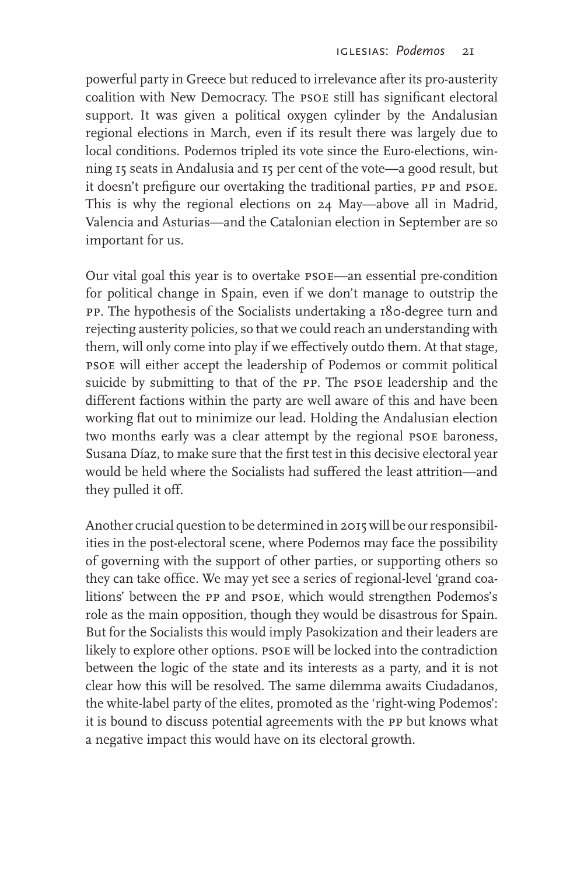powerful party in Greece but reduced to irrelevance after its pro-austerity coalition with New Democracy. The psoe still has significant electoral support. It was given a political oxygen cylinder by the Andalusian regional elections in March, even if its result there was largely due to local conditions. Podemos tripled its vote since the Euro-elections, winning 15 seats in Andalusia and 15 per cent of the vote—a good result, but it doesn't prefigure our overtaking the traditional parties, pp and psoe. This is why the regional elections on 24 May—above all in Madrid, Valencia and Asturias—and the Catalonian election in September are so important for us.

Our vital goal this year is to overtake psoe—an essential pre-condition for political change in Spain, even if we don't manage to outstrip the pp. The hypothesis of the Socialists undertaking a 180-degree turn and rejecting austerity policies, so that we could reach an understanding with them, will only come into play if we effectively outdo them. At that stage, psoe will either accept the leadership of Podemos or commit political suicide by submitting to that of the pp. The psoe leadership and the different factions within the party are well aware of this and have been working flat out to minimize our lead. Holding the Andalusian election two months early was a clear attempt by the regional psoe baroness, Susana Díaz, to make sure that the first test in this decisive electoral year would be held where the Socialists had suffered the least attrition—and they pulled it off.

Another crucial question to be determined in 2015 will be our responsibilities in the post-electoral scene, where Podemos may face the possibility of governing with the support of other parties, or supporting others so they can take office. We may yet see a series of regional-level 'grand coalitions' between the pp and psoe, which would strengthen Podemos's role as the main opposition, though they would be disastrous for Spain. But for the Socialists this would imply Pasokization and their leaders are likely to explore other options. psoe will be locked into the contradiction between the logic of the state and its interests as a party, and it is not clear how this will be resolved. The same dilemma awaits Ciudadanos, the white-label party of the elites, promoted as the 'right-wing Podemos': it is bound to discuss potential agreements with the pp but knows what a negative impact this would have on its electoral growth.